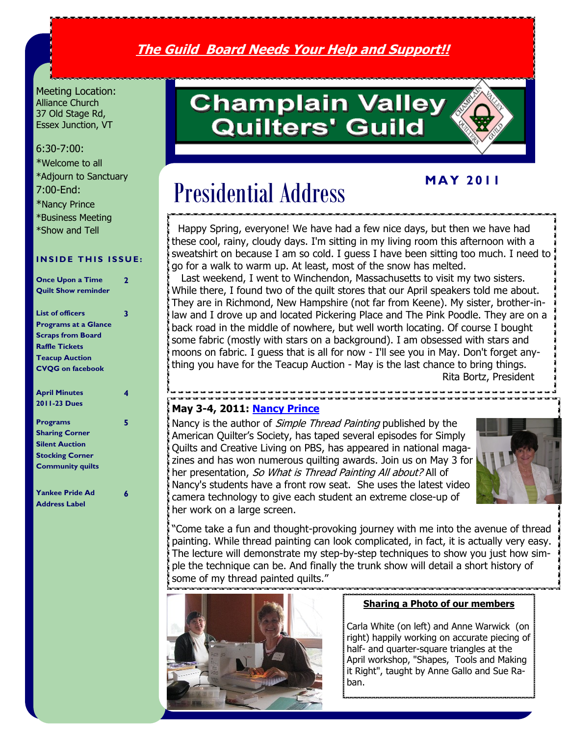# **The Guild Board Needs Your Help and Support!!**

Meeting Location: Alliance Church 37 Old Stage Rd, Essex Junction, VT

#### 6:30-7:00:

\*Welcome to all \*Adjourn to Sanctuary 7:00-End:

\*Nancy Prince \*Business Meeting

\*Show and Tell

#### **INSIDE THIS ISSUE:**

| <b>Once Upon a Time</b>     | 2 |
|-----------------------------|---|
| <b>Quilt Show reminder</b>  |   |
|                             |   |
| <b>List of officers</b>     | 3 |
| <b>Programs at a Glance</b> |   |
| <b>Scraps from Board</b>    |   |
| <b>Raffle Tickets</b>       |   |
| <b>Teacup Auction</b>       |   |
| <b>CVQG</b> on facebook     |   |
|                             |   |
| <b>April Minutes</b>        | 4 |
| 2011-23 Dues                |   |
|                             |   |
| <b>Programs</b>             | 5 |
| <b>Sharing Corner</b>       |   |
| <b>Silent Auction</b>       |   |
| <b>Stocking Corner</b>      |   |
| <b>Community quilts</b>     |   |
|                             |   |
| <b>Yankee Pride Ad</b>      | 6 |
| <b>Address Label</b>        |   |

# **Champlain Valley Quilters' Guild**

# **M A Y 2 0 1 1**

# Presidential Address

Ĩ Happy Spring, everyone! We have had a few nice days, but then we have had these cool, rainy, cloudy days. I'm sitting in my living room this afternoon with a sweatshirt on because I am so cold. I guess I have been sitting too much. I need to go for a walk to warm up. At least, most of the snow has melted.

 Last weekend, I went to Winchendon, Massachusetts to visit my two sisters. While there, I found two of the quilt stores that our April speakers told me about. They are in Richmond, New Hampshire (not far from Keene). My sister, brother-inlaw and I drove up and located Pickering Place and The Pink Poodle. They are on a back road in the middle of nowhere, but well worth locating. Of course I bought some fabric (mostly with stars on a background). I am obsessed with stars and moons on fabric. I guess that is all for now - I'll see you in May. Don't forget anything you have for the Teacup Auction - May is the last chance to bring things. Rita Bortz, President

#### **May 3-4, 2011: [Nancy Prince](http://www.google.com/url?q=http%3A%2F%2Fwww.nancyprince.com%2F&sa=D&sntz=1&usg=AFQjCNFbYESQcS_mY7Vs0Nr6iFTnCydrjw)**

Nancy is the author of *Simple Thread Painting* published by the American Quilter's Society, has taped several episodes for Simply Quilts and Creative Living on PBS, has appeared in national magazines and has won numerous quilting awards. Join us on May 3 for her presentation, So What is Thread Painting All about? All of Nancy's students have a front row seat. She uses the latest video camera technology to give each student an extreme close-up of her work on a large screen.



―Come take a fun and thought-provoking journey with me into the avenue of thread painting. While thread painting can look complicated, in fact, it is actually very easy. The lecture will demonstrate my step-by-step techniques to show you just how simple the technique can be. And finally the trunk show will detail a short history of some of my thread painted quilts."



#### **Sharing a Photo of our members**

Carla White (on left) and Anne Warwick (on right) happily working on accurate piecing of half- and quarter-square triangles at the April workshop, "Shapes, Tools and Making it Right", taught by Anne Gallo and Sue Raban.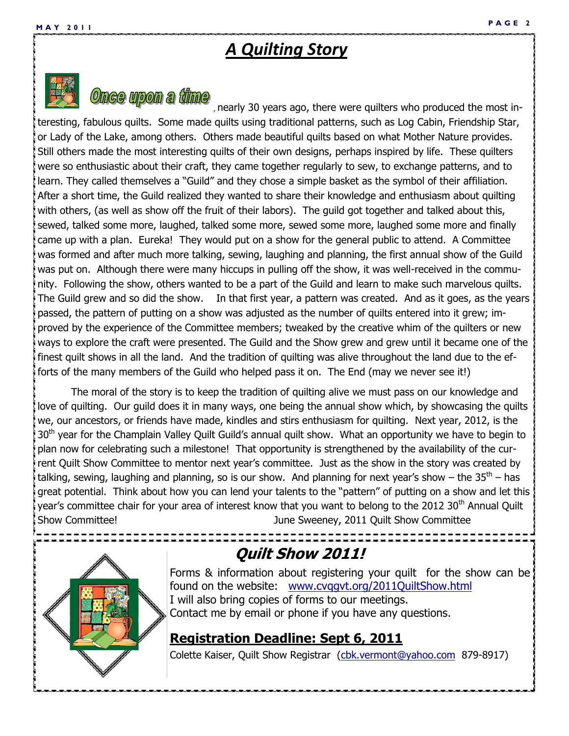# *A Quilting Story*



 $\emph{Once}$  upon a time, nearly 30 years ago, there were quilters who produced the most interesting, fabulous quilts. Some made quilts using traditional patterns, such as Log Cabin, Friendship Star, or Lady of the Lake, among others. Others made beautiful quilts based on what Mother Nature provides. Still others made the most interesting quilts of their own designs, perhaps inspired by life. These quilters were so enthusiastic about their craft, they came together regularly to sew, to exchange patterns, and to learn. They called themselves a "Guild" and they chose a simple basket as the symbol of their affiliation. After a short time, the Guild realized they wanted to share their knowledge and enthusiasm about quilting with others, (as well as show off the fruit of their labors). The guild got together and talked about this, sewed, talked some more, laughed, talked some more, sewed some more, laughed some more and finally came up with a plan. Eureka! They would put on a show for the general public to attend. A Committee was formed and after much more talking, sewing, laughing and planning, the first annual show of the Guild was put on. Although there were many hiccups in pulling off the show, it was well-received in the community. Following the show, others wanted to be a part of the Guild and learn to make such marvelous quilts. The Guild grew and so did the show. In that first year, a pattern was created. And as it goes, as the years passed, the pattern of putting on a show was adjusted as the number of quilts entered into it grew; improved by the experience of the Committee members; tweaked by the creative whim of the quilters or new ways to explore the craft were presented. The Guild and the Show grew and grew until it became one of the finest quilt shows in all the land. And the tradition of quilting was alive throughout the land due to the efforts of the many members of the Guild who helped pass it on. The End (may we never see it!)

The moral of the story is to keep the tradition of quilting alive we must pass on our knowledge and love of quilting. Our guild does it in many ways, one being the annual show which, by showcasing the quilts we, our ancestors, or friends have made, kindles and stirs enthusiasm for quilting. Next year, 2012, is the 30<sup>th</sup> year for the Champlain Valley Quilt Guild's annual quilt show. What an opportunity we have to begin to plan now for celebrating such a milestone! That opportunity is strengthened by the availability of the current Quilt Show Committee to mentor next year's committee. Just as the show in the story was created by talking, sewing, laughing and planning, so is our show. And planning for next year's show – the 35<sup>th</sup> – has great potential. Think about how you can lend your talents to the "pattern" of putting on a show and let this year's committee chair for your area of interest know that you want to belong to the 2012 30<sup>th</sup> Annual Quilt Show Committee! June Sweeney, 2011 Quilt Show Committee



# **Quilt Show 2011!**

Forms & information about registering your quilt for the show can be found on the website: www.cvqqvt.org/2011QuiltShow.html I will also bring copies of forms to our meetings. Contact me by email or phone if you have any questions.

## **Registration Deadline: Sept 6, 2011**

Colette Kaiser, Quilt Show Registrar ([cbk.vermont@yahoo.com](mailto:cbk.vermont@yahoo.com) 879-8917)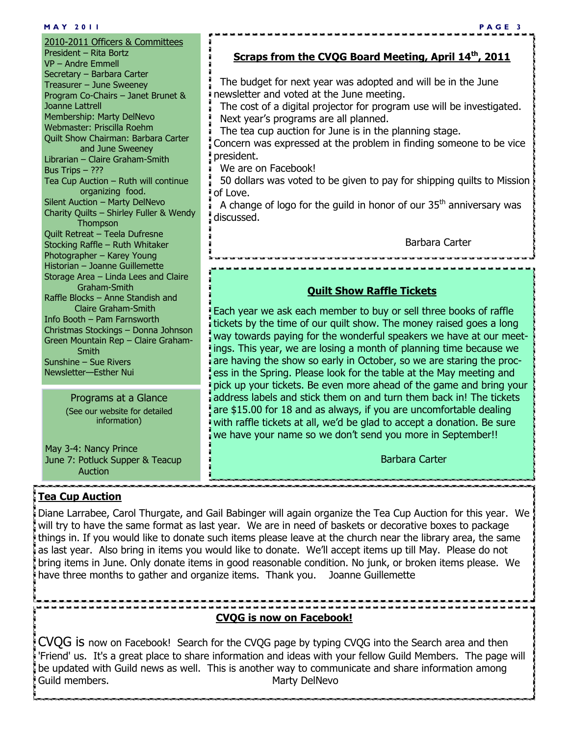#### **M A Y 2 0 1 1 P A G E 3**

2010-2011 Officers & Committees President – Rita Bortz VP – Andre Emmell Secretary – Barbara Carter Treasurer – June Sweeney Program Co-Chairs – Janet Brunet & Joanne Lattrell Membership: Marty DelNevo Webmaster: Priscilla Roehm Quilt Show Chairman: Barbara Carter and June Sweeney Librarian – Claire Graham-Smith Bus Trips – ??? Tea Cup Auction – Ruth will continue organizing food. Silent Auction – Marty DelNevo Charity Quilts – Shirley Fuller & Wendy **Thompson** Quilt Retreat – Teela Dufresne Stocking Raffle – Ruth Whitaker Photographer – Karey Young Historian – Joanne Guillemette Storage Area – Linda Lees and Claire Graham-Smith Raffle Blocks – Anne Standish and Claire Graham-Smith Info Booth – Pam Farnsworth Christmas Stockings – Donna Johnson Green Mountain Rep – Claire Graham- Smith Sunshine – Sue Rivers Newsletter—Esther Nui

#### Programs at a Glance (See our website for detailed information)

May 3-4: Nancy Prince June 7: Potluck Supper & Teacup Auction

#### **Tea Cup Auction**

**Scraps from the CVQG Board Meeting, April 14th, 2011**

 The budget for next year was adopted and will be in the June newsletter and voted at the June meeting.

 The cost of a digital projector for program use will be investigated. Next year's programs are all planned.

The tea cup auction for June is in the planning stage.

Concern was expressed at the problem in finding someone to be vice president.

We are on Facebook!

 50 dollars was voted to be given to pay for shipping quilts to Mission of Love.

A change of logo for the guild in honor of our  $35<sup>th</sup>$  anniversary was discussed.

Barbara Carter

#### **Quilt Show Raffle Tickets**

Each year we ask each member to buy or sell three books of raffle tickets by the time of our quilt show. The money raised goes a long way towards paying for the wonderful speakers we have at our meetings. This year, we are losing a month of planning time because we are having the show so early in October, so we are staring the process in the Spring. Please look for the table at the May meeting and pick up your tickets. Be even more ahead of the game and bring your address labels and stick them on and turn them back in! The tickets are \$15.00 for 18 and as always, if you are uncomfortable dealing with raffle tickets at all, we'd be glad to accept a donation. Be sure we have your name so we don't send you more in September!!

Barbara Carter

Diane Larrabee, Carol Thurgate, and Gail Babinger will again organize the Tea Cup Auction for this year. We will try to have the same format as last year. We are in need of baskets or decorative boxes to package things in. If you would like to donate such items please leave at the church near the library area, the same as last year. Also bring in items you would like to donate. We'll accept items up till May. Please do not bring items in June. Only donate items in good reasonable condition. No junk, or broken items please. We have three months to gather and organize items. Thank you. Joanne Guillemette

#### **CVQG is now on Facebook!**

CVQG is now on Facebook! Search for the CVQG page by typing CVQG into the Search area and then 'Friend' us. It's a great place to share information and ideas with your fellow Guild Members. The page will be updated with Guild news as well. This is another way to communicate and share information among Guild members. The contract of the Marty DelNevo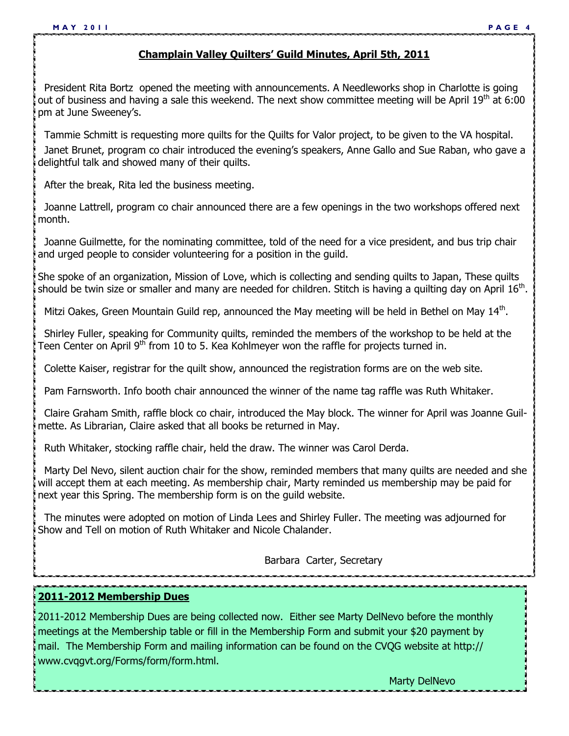#### **Champlain Valley Quilters' Guild Minutes, April 5th, 2011**

 President Rita Bortz opened the meeting with announcements. A Needleworks shop in Charlotte is going out of business and having a sale this weekend. The next show committee meeting will be April  $19<sup>th</sup>$  at 6:00 pm at June Sweeney's.

Tammie Schmitt is requesting more quilts for the Quilts for Valor project, to be given to the VA hospital.

 Janet Brunet, program co chair introduced the evening's speakers, Anne Gallo and Sue Raban, who gave a delightful talk and showed many of their quilts.

After the break, Rita led the business meeting.

 Joanne Lattrell, program co chair announced there are a few openings in the two workshops offered next month.

 Joanne Guilmette, for the nominating committee, told of the need for a vice president, and bus trip chair and urged people to consider volunteering for a position in the guild.

She spoke of an organization, Mission of Love, which is collecting and sending quilts to Japan, These quilts should be twin size or smaller and many are needed for children. Stitch is having a quilting day on April  $16<sup>th</sup>$ .

Mitzi Oakes, Green Mountain Guild rep, announced the May meeting will be held in Bethel on May 14<sup>th</sup>.

 Shirley Fuller, speaking for Community quilts, reminded the members of the workshop to be held at the Teen Center on April 9<sup>th</sup> from 10 to 5. Kea Kohlmeyer won the raffle for projects turned in.

Colette Kaiser, registrar for the quilt show, announced the registration forms are on the web site.

Pam Farnsworth. Info booth chair announced the winner of the name tag raffle was Ruth Whitaker.

 Claire Graham Smith, raffle block co chair, introduced the May block. The winner for April was Joanne Guilmette. As Librarian, Claire asked that all books be returned in May.

Ruth Whitaker, stocking raffle chair, held the draw. The winner was Carol Derda.

 Marty Del Nevo, silent auction chair for the show, reminded members that many quilts are needed and she will accept them at each meeting. As membership chair, Marty reminded us membership may be paid for next year this Spring. The membership form is on the guild website.

 The minutes were adopted on motion of Linda Lees and Shirley Fuller. The meeting was adjourned for Show and Tell on motion of Ruth Whitaker and Nicole Chalander.

Barbara Carter, Secretary

**2011-2012 Membership Dues**

2011-2012 Membership Dues are being collected now. Either see Marty DelNevo before the monthly meetings at the Membership table or fill in the Membership Form and submit your \$20 payment by mail. The Membership Form and mailing information can be found on the CVQG website at http:// www.cvqgvt.org/Forms/form/form.html.

Marty DelNevo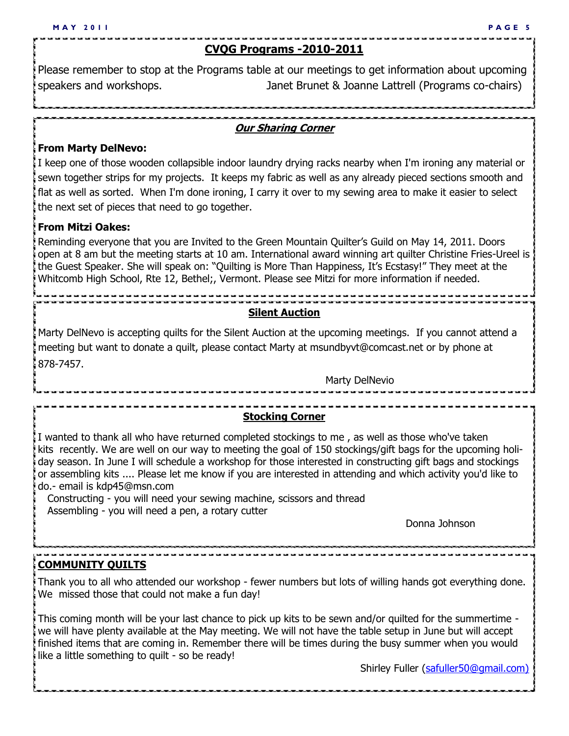#### **CVQG Programs -2010-2011**

Please remember to stop at the Programs table at our meetings to get information about upcoming speakers and workshops. Janet Brunet & Joanne Lattrell (Programs co-chairs)

#### **Our Sharing Corner**

#### **From Marty DelNevo:**

I keep one of those wooden collapsible indoor laundry drying racks nearby when I'm ironing any material or sewn together strips for my projects. It keeps my fabric as well as any already pieced sections smooth and flat as well as sorted. When I'm done ironing, I carry it over to my sewing area to make it easier to select the next set of pieces that need to go together.

#### **From Mitzi Oakes:**

Reminding everyone that you are Invited to the Green Mountain Quilter's Guild on May 14, 2011. Doors open at 8 am but the meeting starts at 10 am. International award winning art quilter Christine Fries-Ureel is the Guest Speaker. She will speak on: "Quilting is More Than Happiness, It's Ecstasy!" They meet at the Whitcomb High School, Rte 12, Bethel;, Vermont. Please see Mitzi for more information if needed.

### **Silent Auction**

Marty DelNevo is accepting quilts for the Silent Auction at the upcoming meetings. If you cannot attend a meeting but want to donate a quilt, please contact Marty at msundbyvt@comcast.net or by phone at 878-7457.

Marty DelNevio

### **Stocking Corner**

I wanted to thank all who have returned completed stockings to me , as well as those who've taken kits recently. We are well on our way to meeting the goal of 150 stockings/gift bags for the upcoming holiday season. In June I will schedule a workshop for those interested in constructing gift bags and stockings or assembling kits .... Please let me know if you are interested in attending and which activity you'd like to do.- email is kdp45@msn.com

Constructing - you will need your sewing machine, scissors and thread Assembling - you will need a pen, a rotary cutter

Donna Johnson

#### **COMMUNITY QUILTS**

Thank you to all who attended our workshop - fewer numbers but lots of willing hands got everything done. We missed those that could not make a fun day!

This coming month will be your last chance to pick up kits to be sewn and/or quilted for the summertime we will have plenty available at the May meeting. We will not have the table setup in June but will accept finished items that are coming in. Remember there will be times during the busy summer when you would like a little something to quilt - so be ready!

Shirley Fuller (safuller50@qmail.com)